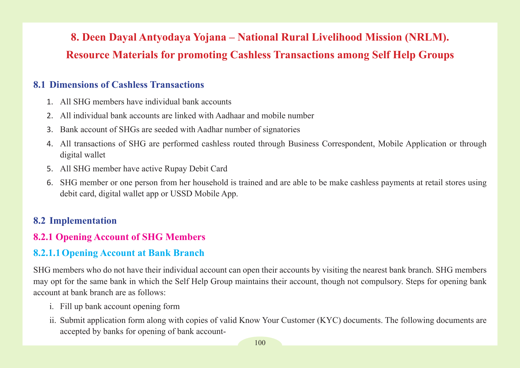# **8. Deen Dayal Antyodaya Yojana – National Rural Livelihood Mission (NRLM). Resource Materials for promoting Cashless Transactions among Self Help Groups**

# **8.1 Dimensions of Cashless Transactions**

- 1. All SHG members have individual bank accounts
- 2. All individual bank accounts are linked with Aadhaar and mobile number
- 3. Bank account of SHGs are seeded with Aadhar number of signatories
- 4. All transactions of SHG are performed cashless routed through Business Correspondent, Mobile Application or through digital wallet
- 5. All SHG member have active Rupay Debit Card
- 6. SHG member or one person from her household is trained and are able to be make cashless payments at retail stores using debit card, digital wallet app or USSD Mobile App.

# **8.2 Implementation**

# **8.2.1 Opening Account of SHG Members**

# **8.2.1.1Opening Account at Bank Branch**

SHG members who do not have their individual account can open their accounts by visiting the nearest bank branch. SHG members may opt for the same bank in which the Self Help Group maintains their account, though not compulsory. Steps for opening bank account at bank branch are as follows:

- i. Fill up bank account opening form
- ii. Submit application form along with copies of valid Know Your Customer (KYC) documents. The following documents are accepted by banks for opening of bank account-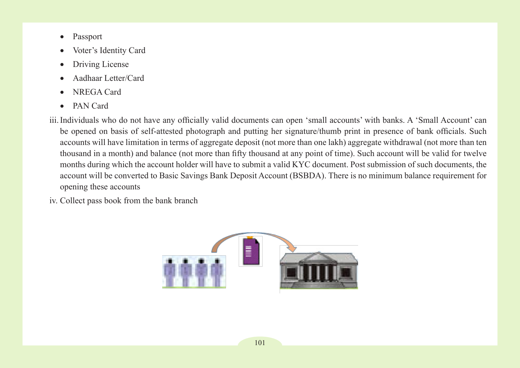- Passport
- Voter's Identity Card
- Driving License
- Aadhaar Letter/Card
- • NREGA Card
- • PAN Card
- iii.Individuals who do not have any officially valid documents can open 'small accounts' with banks. A 'Small Account' can be opened on basis of self-attested photograph and putting her signature/thumb print in presence of bank officials. Such accounts will have limitation in terms of aggregate deposit (not more than one lakh) aggregate withdrawal (not more than ten thousand in a month) and balance (not more than fifty thousand at any point of time). Such account will be valid for twelve months during which the account holder will have to submit a valid KYC document. Post submission of such documents, the account will be converted to Basic Savings Bank Deposit Account (BSBDA). There is no minimum balance requirement for opening these accounts
- iv. Collect pass book from the bank branch

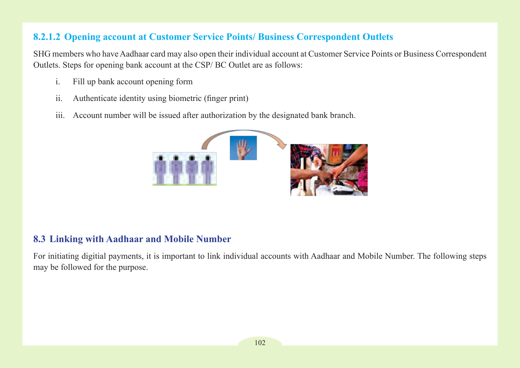# **8.2.1.2 Opening account at Customer Service Points/ Business Correspondent Outlets**

SHG members who have Aadhaar card may also open their individual account at Customer Service Points or Business Correspondent Outlets. Steps for opening bank account at the CSP/ BC Outlet are as follows:

- i. Fill up bank account opening form
- ii. Authenticate identity using biometric (finger print)
- iii. Account number will be issued after authorization by the designated bank branch.



# **8.3 Linking with Aadhaar and Mobile Number**

For initiating digitial payments, it is important to link individual accounts with Aadhaar and Mobile Number. The following steps may be followed for the purpose.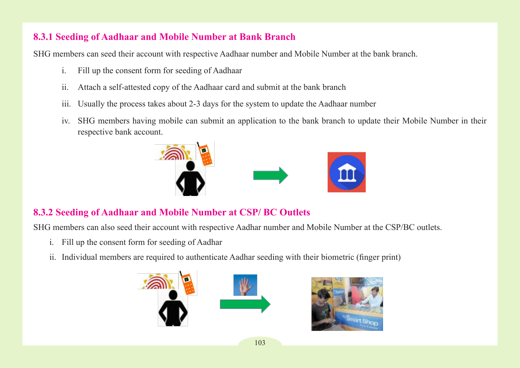# **8.3.1 Seeding of Aadhaar and Mobile Number at Bank Branch**

SHG members can seed their account with respective Aadhaar number and Mobile Number at the bank branch.

- i. Fill up the consent form for seeding of Aadhaar
- ii. Attach a self-attested copy of the Aadhaar card and submit at the bank branch
- iii. Usually the process takes about 2-3 days for the system to update the Aadhaar number
- iv. SHG members having mobile can submit an application to the bank branch to update their Mobile Number in their respective bank account.



# **8.3.2 Seeding of Aadhaar and Mobile Number at CSP/ BC Outlets**

SHG members can also seed their account with respective Aadhar number and Mobile Number at the CSP/BC outlets.

- i. Fill up the consent form for seeding of Aadhar
- ii. Individual members are required to authenticate Aadhar seeding with their biometric (finger print)



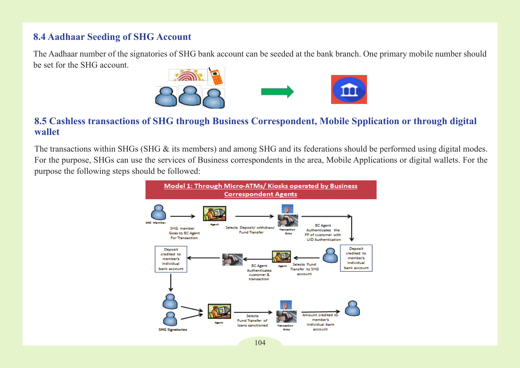#### **8.4 Aadhaar Seeding of SHG Account**

The Aadhaar number of the signatories of SHG bank account can be seeded at the bank branch. One primary mobile number should be set for the SHG account.



#### **8.5 Cashless transactions of SHG through Business Correspondent, Mobile Spplication or through digital wallet**

The transactions within SHGs (SHG & its members) and among SHG and its federations should be performed using digital modes. For the purpose, SHGs can use the services of Business correspondents in the area, Mobile Applications or digital wallets. For the purpose the following steps should be followed:

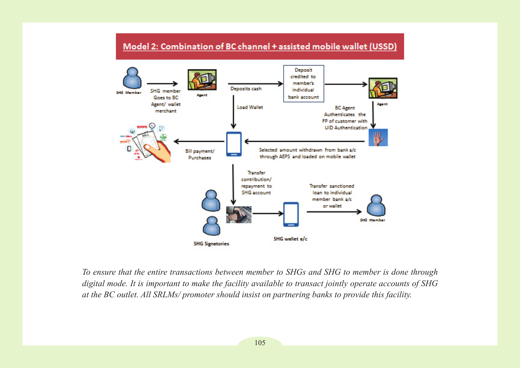#### Model 2: Combination of BC channel + assisted mobile wallet (USSD)



*To ensure that the entire transactions between member to SHGs and SHG to member is done through digital mode. It is important to make the facility available to transact jointly operate accounts of SHG at the BC outlet. All SRLMs/ promoter should insist on partnering banks to provide this facility.*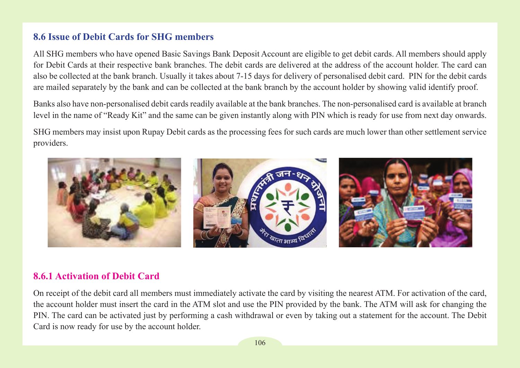### **8.6 Issue of Debit Cards for SHG members**

All SHG members who have opened Basic Savings Bank Deposit Account are eligible to get debit cards. All members should apply for Debit Cards at their respective bank branches. The debit cards are delivered at the address of the account holder. The card can also be collected at the bank branch. Usually it takes about 7-15 days for delivery of personalised debit card. PIN for the debit cards are mailed separately by the bank and can be collected at the bank branch by the account holder by showing valid identify proof.

Banks also have non-personalised debit cards readily available at the bank branches. The non-personalised card is available at branch level in the name of "Ready Kit" and the same can be given instantly along with PIN which is ready for use from next day onwards.

SHG members may insist upon Rupay Debit cards as the processing fees for such cards are much lower than other settlement service providers.



### **8.6.1 Activation of Debit Card**

On receipt of the debit card all members must immediately activate the card by visiting the nearest ATM. For activation of the card, the account holder must insert the card in the ATM slot and use the PIN provided by the bank. The ATM will ask for changing the PIN. The card can be activated just by performing a cash withdrawal or even by taking out a statement for the account. The Debit Card is now ready for use by the account holder.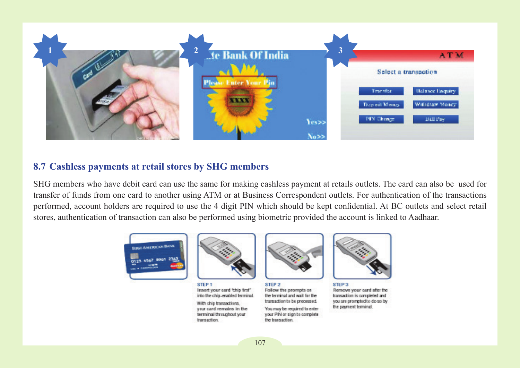

### **8.7 Cashless payments at retail stores by SHG members**

SHG members who have debit card can use the same for making cashless payment at retails outlets. The card can also be used for transfer of funds from one card to another using ATM or at Business Correspondent outlets. For authentication of the transactions performed, account holders are required to use the 4 digit PIN which should be kept confidential. At BC outlets and select retail stores, authentication of transaction can also be performed using biometric provided the account is linked to Aadhaar.



STEP<sub>1</sub> Insert your card 'thip first"

With chip transactions, your card remains in the terminal throughout your transaction.

into the chip-enabled terminal.



STEP 2 Follow the prompts on the terminal and wait for the transaction to be processed. You may be required to enter your PIN or sign to complete. the transaction.



**STEP 3** Remove your card after the transaction is completed and you are prompted to do so by the payment terminal.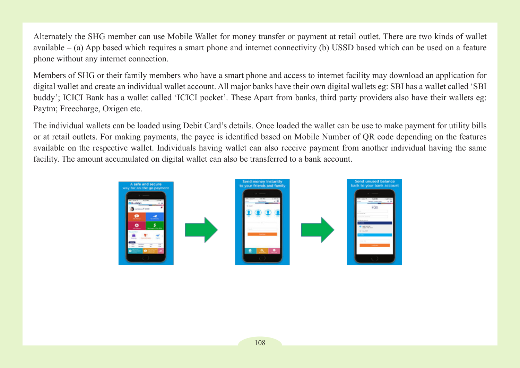Alternately the SHG member can use Mobile Wallet for money transfer or payment at retail outlet. There are two kinds of wallet available – (a) App based which requires a smart phone and internet connectivity (b) USSD based which can be used on a feature phone without any internet connection.

Members of SHG or their family members who have a smart phone and access to internet facility may download an application for digital wallet and create an individual wallet account. All major banks have their own digital wallets eg: SBI has a wallet called 'SBI buddy'; ICICI Bank has a wallet called 'ICICI pocket'. These Apart from banks, third party providers also have their wallets eg: Paytm; Freecharge, Oxigen etc.

The individual wallets can be loaded using Debit Card's details. Once loaded the wallet can be use to make payment for utility bills or at retail outlets. For making payments, the payee is identified based on Mobile Number of QR code depending on the features available on the respective wallet. Individuals having wallet can also receive payment from another individual having the same facility. The amount accumulated on digital wallet can also be transferred to a bank account.

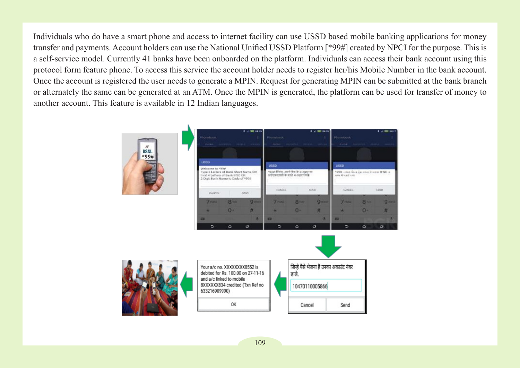Individuals who do have a smart phone and access to internet facility can use USSD based mobile banking applications for money transfer and payments. Account holders can use the National Unified USSD Platform [\*99#] created by NPCI for the purpose. This is a self-service model. Currently 41 banks have been onboarded on the platform. Individuals can access their bank account using this protocol form feature phone. To access this service the account holder needs to register her/his Mobile Number in the bank account. Once the account is registered the user needs to generate a MPIN. Request for generating MPIN can be submitted at the bank branch or alternately the same can be generated at an ATM. Once the MPIN is generated, the platform can be used for transfer of money to another account. This feature is available in 12 Indian languages.

| <b>THE</b><br>$_{N}$<br><b>BSNL</b> | Phonebook<br>Philadelphia |                                                                                                                                 | 4 200 3355<br>CARACTERISTIC DESIGNATION | Phonebook<br>Andrew Concordial |                                                                                                | 4 2 9 22 15 | Fhanebook.<br>AND& ANOTHER HEIRS and |                                                                        | 1 al 000 2217 |  |
|-------------------------------------|---------------------------|---------------------------------------------------------------------------------------------------------------------------------|-----------------------------------------|--------------------------------|------------------------------------------------------------------------------------------------|-------------|--------------------------------------|------------------------------------------------------------------------|---------------|--|
| $+99#$                              | <b>USSD</b>               | Welcome to 1998<br>Type 3 Letters of Bank Short Name DR<br>First 4 Letters of Bank IFSC OR<br>2 Digit Bank Numeric Code of *934 |                                         |                                | <b>USSS</b><br>+प्रश्न केंग्रिम -अपने मेंज के 3 अक्षर मा<br>अर्डएकदवाडी के पहले 4 अक्षर निर्दो |             |                                      | <b>USSD</b><br>PDDR - used tis-a Zai-eved 3 more 1FSD-4<br>WHAT ARE ON |               |  |
|                                     | CANCEL                    |                                                                                                                                 | SOND                                    | CANGEL                         |                                                                                                | SCNII-      | CANSS.                               |                                                                        | <b>SOND</b>   |  |
|                                     | $7$ range                 | <b>8 tub</b>                                                                                                                    | Quanz                                   | 7 <sub>rest</sub>              | <b>B</b> 110                                                                                   | Queen       | $7 - 1$                              | <b>BTIN</b>                                                            | <b>Q</b> MAKE |  |
|                                     | ▬                         | $0+$                                                                                                                            | Ħ<br>a.                                 | ٠<br>o                         | $0-$                                                                                           | 进<br>٠      | ▬                                    | $0 -$                                                                  | 丑             |  |
|                                     | ∍                         | $\circ$                                                                                                                         | $\sigma$                                | ∍                              | $\circ$                                                                                        | $\sigma$    | ъ                                    | $\circ$                                                                | $\circ$       |  |



Your a/c no. XXXXXXXX8552 is debited for Rs. 100,00 on 27-11-16 and a/c linked to mobile 8XXXXXX834 credited (Txn Ref no 633216909990)

OK

जिन्हे पैसे भेजना है उनका अकाउंट नंबर डाले. 10470110005866 Cancel Send